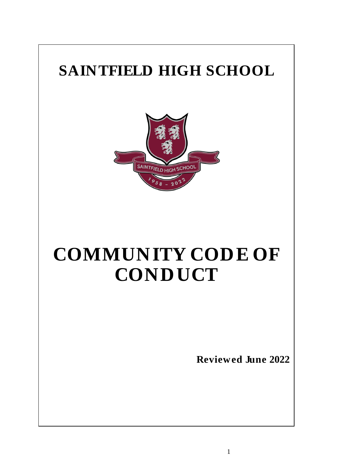# **SAINTFIELD HIGH SCHOOL**



# **COMMUNITY CODE OF CONDUCT**

**Reviewed June 2022**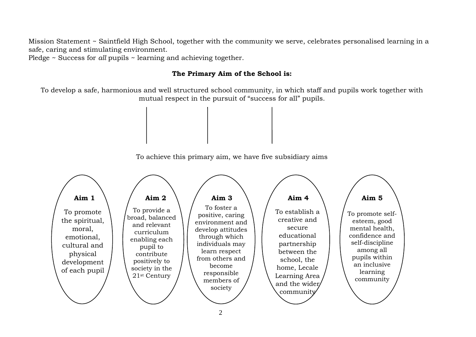Mission Statement ~ Saintfield High School, together with the community we serve, celebrates personalised learning in a safe, caring and stimulating environment.

Pledge ~ Success for *all* pupils ~ learning and achieving together.

#### **The Primary Aim of the School is:**

To develop a safe, harmonious and well structured school community, in which staff and pupils work together with mutual respect in the pursuit of "success for all" pupils.

To achieve this primary aim, we have five subsidiary aims

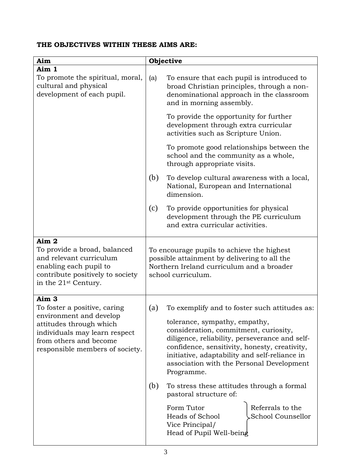# **THE OBJECTIVES WITHIN THESE AIMS ARE:**

| Aim                                                                                                                                                                                                  | Objective                                                                                                                                                                                                                                                                                                                                                                                                                                                                                                                                                           |  |
|------------------------------------------------------------------------------------------------------------------------------------------------------------------------------------------------------|---------------------------------------------------------------------------------------------------------------------------------------------------------------------------------------------------------------------------------------------------------------------------------------------------------------------------------------------------------------------------------------------------------------------------------------------------------------------------------------------------------------------------------------------------------------------|--|
| Aim 1                                                                                                                                                                                                |                                                                                                                                                                                                                                                                                                                                                                                                                                                                                                                                                                     |  |
| To promote the spiritual, moral,<br>cultural and physical<br>development of each pupil.                                                                                                              | To ensure that each pupil is introduced to<br>(a)<br>broad Christian principles, through a non-<br>denominational approach in the classroom<br>and in morning assembly.                                                                                                                                                                                                                                                                                                                                                                                             |  |
|                                                                                                                                                                                                      | To provide the opportunity for further<br>development through extra curricular<br>activities such as Scripture Union.                                                                                                                                                                                                                                                                                                                                                                                                                                               |  |
|                                                                                                                                                                                                      | To promote good relationships between the<br>school and the community as a whole,<br>through appropriate visits.                                                                                                                                                                                                                                                                                                                                                                                                                                                    |  |
|                                                                                                                                                                                                      | (b)<br>To develop cultural awareness with a local,<br>National, European and International<br>dimension.                                                                                                                                                                                                                                                                                                                                                                                                                                                            |  |
|                                                                                                                                                                                                      | (c)<br>To provide opportunities for physical<br>development through the PE curriculum<br>and extra curricular activities.                                                                                                                                                                                                                                                                                                                                                                                                                                           |  |
| Aim 2<br>To provide a broad, balanced<br>and relevant curriculum<br>enabling each pupil to<br>contribute positively to society<br>in the 21 <sup>st</sup> Century.                                   | To encourage pupils to achieve the highest<br>possible attainment by delivering to all the<br>Northern Ireland curriculum and a broader<br>school curriculum.                                                                                                                                                                                                                                                                                                                                                                                                       |  |
| Aim <sub>3</sub><br>To foster a positive, caring<br>environment and develop<br>attitudes through which<br>individuals may learn respect<br>from others and become<br>responsible members of society. | To exemplify and to foster such attitudes as:<br>(a)<br>tolerance, sympathy, empathy,<br>consideration, commitment, curiosity,<br>diligence, reliability, perseverance and self-<br>confidence, sensitivity, honesty, creativity,<br>initiative, adaptability and self-reliance in<br>association with the Personal Development<br>Programme.<br>(b)<br>To stress these attitudes through a formal<br>pastoral structure of:<br>Referrals to the<br>Form Tutor<br><b>School Counsellor</b><br><b>Heads of School</b><br>Vice Principal/<br>Head of Pupil Well-being |  |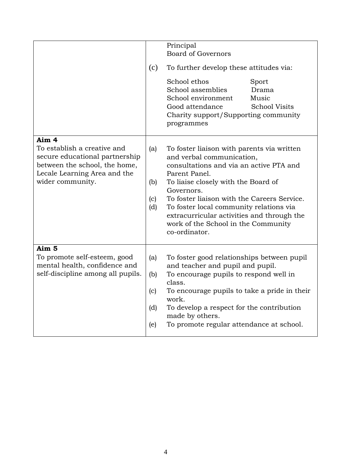|                                                                                                                                                             | (c)                             | Principal<br><b>Board of Governors</b><br>To further develop these attitudes via:<br>School ethos<br>Sport<br>School assemblies<br>Drama<br>School environment<br>Music<br>Good attendance<br><b>School Visits</b><br>Charity support/Supporting community<br>programmes                                                                                                                 |
|-------------------------------------------------------------------------------------------------------------------------------------------------------------|---------------------------------|------------------------------------------------------------------------------------------------------------------------------------------------------------------------------------------------------------------------------------------------------------------------------------------------------------------------------------------------------------------------------------------|
| Aim 4<br>To establish a creative and<br>secure educational partnership<br>between the school, the home,<br>Lecale Learning Area and the<br>wider community. | (a)<br>(b)<br>(c)<br>(d)        | To foster liaison with parents via written<br>and verbal communication,<br>consultations and via an active PTA and<br>Parent Panel.<br>To liaise closely with the Board of<br>Governors.<br>To foster liaison with the Careers Service.<br>To foster local community relations via<br>extracurricular activities and through the<br>work of the School in the Community<br>co-ordinator. |
| Aim 5<br>To promote self-esteem, good<br>mental health, confidence and<br>self-discipline among all pupils.                                                 | (a)<br>(b)<br>(c)<br>(d)<br>(e) | To foster good relationships between pupil<br>and teacher and pupil and pupil.<br>To encourage pupils to respond well in<br>class.<br>To encourage pupils to take a pride in their<br>work.<br>To develop a respect for the contribution<br>made by others.<br>To promote regular attendance at school.                                                                                  |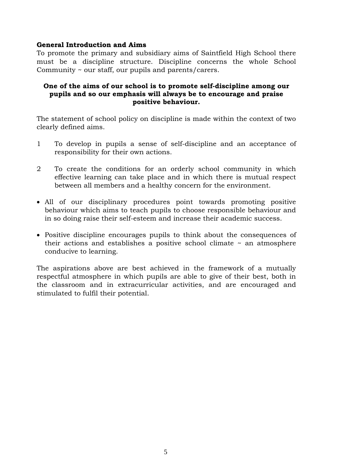#### **General Introduction and Aims**

To promote the primary and subsidiary aims of Saintfield High School there must be a discipline structure. Discipline concerns the whole School Community ~ our staff, our pupils and parents/carers.

#### **One of the aims of our school is to promote self-discipline among our pupils and so our emphasis will always be to encourage and praise positive behaviour.**

The statement of school policy on discipline is made within the context of two clearly defined aims.

- 1 To develop in pupils a sense of self-discipline and an acceptance of responsibility for their own actions.
- 2 To create the conditions for an orderly school community in which effective learning can take place and in which there is mutual respect between all members and a healthy concern for the environment.
- All of our disciplinary procedures point towards promoting positive behaviour which aims to teach pupils to choose responsible behaviour and in so doing raise their self-esteem and increase their academic success.
- Positive discipline encourages pupils to think about the consequences of their actions and establishes a positive school climate  $\sim$  an atmosphere conducive to learning.

The aspirations above are best achieved in the framework of a mutually respectful atmosphere in which pupils are able to give of their best, both in the classroom and in extracurricular activities, and are encouraged and stimulated to fulfil their potential.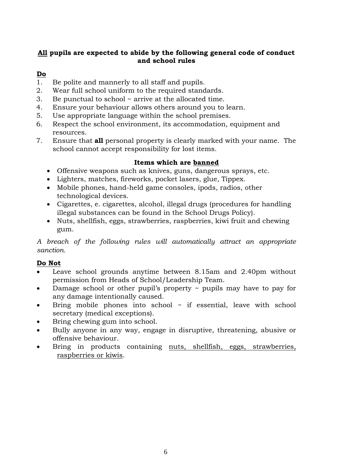# **All pupils are expected to abide by the following general code of conduct and school rules**

# **Do**

- 1. Be polite and mannerly to all staff and pupils.
- 2. Wear full school uniform to the required standards.
- 3. Be punctual to school ~ arrive at the allocated time.
- 4. Ensure your behaviour allows others around you to learn.
- 5. Use appropriate language within the school premises.
- 6. Respect the school environment, its accommodation, equipment and resources.
- 7. Ensure that **all** personal property is clearly marked with your name. The school cannot accept responsibility for lost items.

# **Items which are banned**

- Offensive weapons such as knives, guns, dangerous sprays, etc.
- Lighters, matches, fireworks, pocket lasers, glue, Tippex.
- Mobile phones, hand-held game consoles, ipods, radios, other technological devices.
- Cigarettes, e. cigarettes, alcohol, illegal drugs (procedures for handling illegal substances can be found in the School Drugs Policy).
- Nuts, shellfish, eggs, strawberries, raspberries, kiwi fruit and chewing gum.

*A breach of the following rules will automatically attract an appropriate sanction.*

# **Do Not**

- Leave school grounds anytime between 8.15am and 2.40pm without permission from Heads of School/Leadership Team.
- Damage school or other pupil's property ~ pupils may have to pay for any damage intentionally caused.
- $\bullet$  Bring mobile phones into school  $\sim$  if essential, leave with school secretary (medical exceptions).
- Bring chewing gum into school.
- Bully anyone in any way, engage in disruptive, threatening, abusive or offensive behaviour.
- Bring in products containing nuts, shellfish, eggs, strawberries, raspberries or kiwis.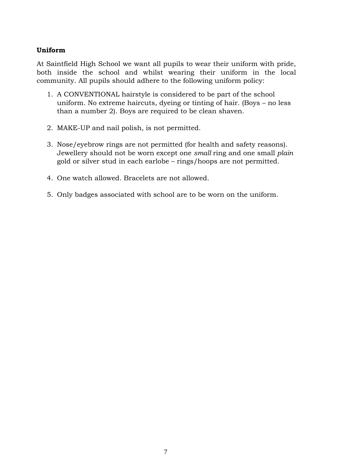### **Uniform**

At Saintfield High School we want all pupils to wear their uniform with pride, both inside the school and whilst wearing their uniform in the local community. All pupils should adhere to the following uniform policy:

- 1. A CONVENTIONAL hairstyle is considered to be part of the school uniform. No extreme haircuts, dyeing or tinting of hair. (Boys – no less than a number 2). Boys are required to be clean shaven.
- 2. MAKE-UP and nail polish, is not permitted.
- 3. Nose/eyebrow rings are not permitted (for health and safety reasons). Jewellery should not be worn except one *small* ring and one small *plain* gold or silver stud in each earlobe – rings/hoops are not permitted.
- 4. One watch allowed. Bracelets are not allowed.
- 5. Only badges associated with school are to be worn on the uniform.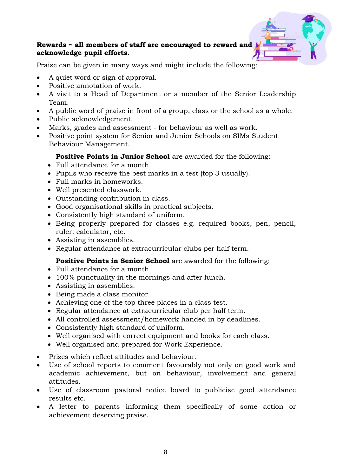#### **Rewards ~ all members of staff are encouraged to reward and acknowledge pupil efforts.**

Praise can be given in many ways and might include the following:

- A quiet word or sign of approval.
- Positive annotation of work.
- A visit to a Head of Department or a member of the Senior Leadership Team.
- A public word of praise in front of a group, class or the school as a whole.
- Public acknowledgement.
- Marks, grades and assessment for behaviour as well as work.
- Positive point system for Senior and Junior Schools on SIMs Student Behaviour Management.

# **Positive Points in Junior School** are awarded for the following:

- Full attendance for a month.
- Pupils who receive the best marks in a test (top 3 usually).
- Full marks in homeworks.
- Well presented classwork.
- Outstanding contribution in class.
- Good organisational skills in practical subjects.
- Consistently high standard of uniform.
- Being properly prepared for classes e.g. required books, pen, pencil, ruler, calculator, etc.
- Assisting in assemblies.
- Regular attendance at extracurricular clubs per half term.

# **Positive Points in Senior School** are awarded for the following:

- Full attendance for a month.
- 100% punctuality in the mornings and after lunch.
- Assisting in assemblies.
- Being made a class monitor.
- Achieving one of the top three places in a class test.
- Regular attendance at extracurricular club per half term.
- All controlled assessment/homework handed in by deadlines.
- Consistently high standard of uniform.
- Well organised with correct equipment and books for each class.
- Well organised and prepared for Work Experience.
- Prizes which reflect attitudes and behaviour.
- Use of school reports to comment favourably not only on good work and academic achievement, but on behaviour, involvement and general attitudes.
- Use of classroom pastoral notice board to publicise good attendance results etc.
- A letter to parents informing them specifically of some action or achievement deserving praise.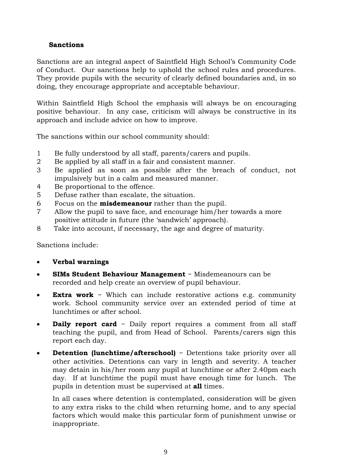### **Sanctions**

Sanctions are an integral aspect of Saintfield High School's Community Code of Conduct. Our sanctions help to uphold the school rules and procedures. They provide pupils with the security of clearly defined boundaries and, in so doing, they encourage appropriate and acceptable behaviour.

Within Saintfield High School the emphasis will always be on encouraging positive behaviour. In any case, criticism will always be constructive in its approach and include advice on how to improve.

The sanctions within our school community should:

- 1 Be fully understood by all staff, parents/carers and pupils.
- 2 Be applied by all staff in a fair and consistent manner.
- 3 Be applied as soon as possible after the breach of conduct, not impulsively but in a calm and measured manner.
- 4 Be proportional to the offence.
- 5 Defuse rather than escalate, the situation.
- 6 Focus on the **misdemeanour** rather than the pupil.
- 7 Allow the pupil to save face, and encourage him/her towards a more positive attitude in future (the 'sandwich' approach).
- 8 Take into account, if necessary, the age and degree of maturity.

Sanctions include:

- **Verbal warnings**
- **SIMs Student Behaviour Management** ~ Misdemeanours can be recorded and help create an overview of pupil behaviour.
- **Extra work** ~ Which can include restorative actions e.g. community work. School community service over an extended period of time at lunchtimes or after school.
- **Daily report card** ~ Daily report requires a comment from all staff teaching the pupil, and from Head of School. Parents/carers sign this report each day.
- **Detention (lunchtime/afterschool)** ~ Detentions take priority over all other activities. Detentions can vary in length and severity. A teacher may detain in his/her room any pupil at lunchtime or after 2.40pm each day. If at lunchtime the pupil must have enough time for lunch. The pupils in detention must be supervised at **all** times.

In all cases where detention is contemplated, consideration will be given to any extra risks to the child when returning home, and to any special factors which would make this particular form of punishment unwise or inappropriate.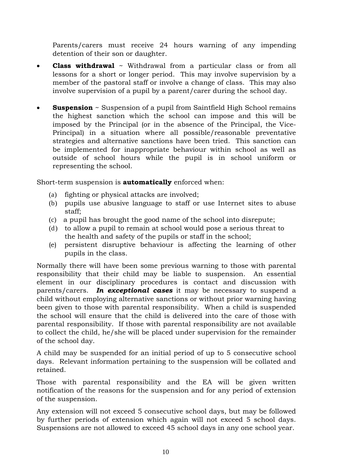Parents/carers must receive 24 hours warning of any impending detention of their son or daughter.

- **Class withdrawal** ~ Withdrawal from a particular class or from all lessons for a short or longer period. This may involve supervision by a member of the pastoral staff or involve a change of class. This may also involve supervision of a pupil by a parent/carer during the school day.
- **Suspension** ~ Suspension of a pupil from Saintfield High School remains the highest sanction which the school can impose and this will be imposed by the Principal (or in the absence of the Principal, the Vice-Principal) in a situation where all possible/reasonable preventative strategies and alternative sanctions have been tried. This sanction can be implemented for inappropriate behaviour within school as well as outside of school hours while the pupil is in school uniform or representing the school.

Short-term suspension is **automatically** enforced when:

- (a) fighting or physical attacks are involved;
- (b) pupils use abusive language to staff or use Internet sites to abuse staff;
- (c) a pupil has brought the good name of the school into disrepute;
- (d) to allow a pupil to remain at school would pose a serious threat to the health and safety of the pupils or staff in the school;
- (e) persistent disruptive behaviour is affecting the learning of other pupils in the class.

Normally there will have been some previous warning to those with parental responsibility that their child may be liable to suspension. An essential element in our disciplinary procedures is contact and discussion with parents/carers. *In exceptional cases* it may be necessary to suspend a child without employing alternative sanctions or without prior warning having been given to those with parental responsibility. When a child is suspended the school will ensure that the child is delivered into the care of those with parental responsibility. If those with parental responsibility are not available to collect the child, he/she will be placed under supervision for the remainder of the school day.

A child may be suspended for an initial period of up to 5 consecutive school days. Relevant information pertaining to the suspension will be collated and retained.

Those with parental responsibility and the EA will be given written notification of the reasons for the suspension and for any period of extension of the suspension.

Any extension will not exceed 5 consecutive school days, but may be followed by further periods of extension which again will not exceed 5 school days. Suspensions are not allowed to exceed 45 school days in any one school year.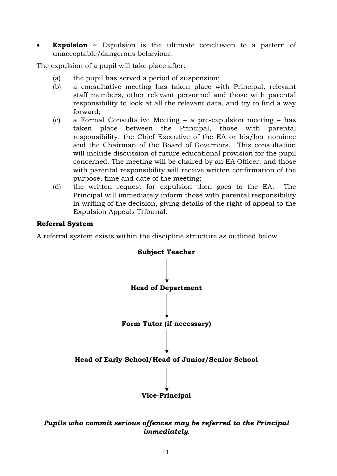• **Expulsion** ~ Expulsion is the ultimate conclusion to a pattern of unacceptable/dangerous behaviour.

The expulsion of a pupil will take place after:

- (a) the pupil has served a period of suspension;
- (b) a consultative meeting has taken place with Principal, relevant staff members, other relevant personnel and those with parental responsibility to look at all the relevant data, and try to find a way forward;
- (c) a Formal Consultative Meeting a pre-expulsion meeting has taken place between the Principal, those with parental responsibility, the Chief Executive of the EA or his/her nominee and the Chairman of the Board of Governors. This consultation will include discussion of future educational provision for the pupil concerned. The meeting will be chaired by an EA Officer, and those with parental responsibility will receive written confirmation of the purpose, time and date of the meeting;
- (d) the written request for expulsion then goes to the EA. The Principal will immediately inform those with parental responsibility in writing of the decision, giving details of the right of appeal to the Expulsion Appeals Tribunal.

#### **Referral System**

A referral system exists within the discipline structure as outlined below.



#### *Pupils who commit serious offences may be referred to the Principal immediately.*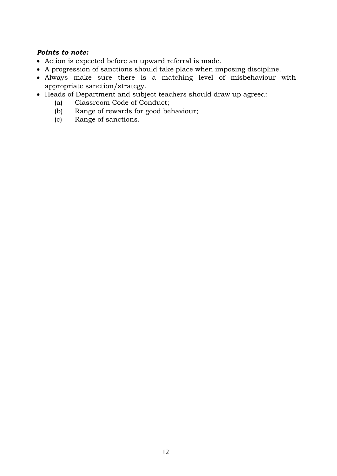#### *Points to note:*

- Action is expected before an upward referral is made.
- A progression of sanctions should take place when imposing discipline.
- Always make sure there is a matching level of misbehaviour with appropriate sanction/strategy.
- Heads of Department and subject teachers should draw up agreed:
	- (a) Classroom Code of Conduct;
	- (b) Range of rewards for good behaviour;
	- (c) Range of sanctions.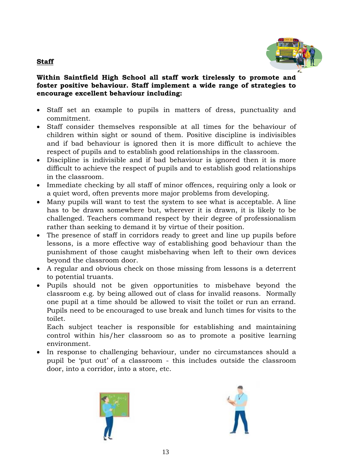# **Staff**



#### **Within Saintfield High School all staff work tirelessly to promote and foster positive behaviour. Staff implement a wide range of strategies to encourage excellent behaviour including:**

- Staff set an example to pupils in matters of dress, punctuality and commitment.
- Staff consider themselves responsible at all times for the behaviour of children within sight or sound of them. Positive discipline is indivisibles and if bad behaviour is ignored then it is more difficult to achieve the respect of pupils and to establish good relationships in the classroom.
- Discipline is indivisible and if bad behaviour is ignored then it is more difficult to achieve the respect of pupils and to establish good relationships in the classroom.
- Immediate checking by all staff of minor offences, requiring only a look or a quiet word, often prevents more major problems from developing.
- Many pupils will want to test the system to see what is acceptable. A line has to be drawn somewhere but, wherever it is drawn, it is likely to be challenged. Teachers command respect by their degree of professionalism rather than seeking to demand it by virtue of their position.
- The presence of staff in corridors ready to greet and line up pupils before lessons, is a more effective way of establishing good behaviour than the punishment of those caught misbehaving when left to their own devices beyond the classroom door.
- A regular and obvious check on those missing from lessons is a deterrent to potential truants.
- Pupils should not be given opportunities to misbehave beyond the classroom e.g. by being allowed out of class for invalid reasons. Normally one pupil at a time should be allowed to visit the toilet or run an errand. Pupils need to be encouraged to use break and lunch times for visits to the toilet.

Each subject teacher is responsible for establishing and maintaining control within his/her classroom so as to promote a positive learning environment.

 In response to challenging behaviour, under no circumstances should a pupil be 'put out' of a classroom - this includes outside the classroom door, into a corridor, into a store, etc.



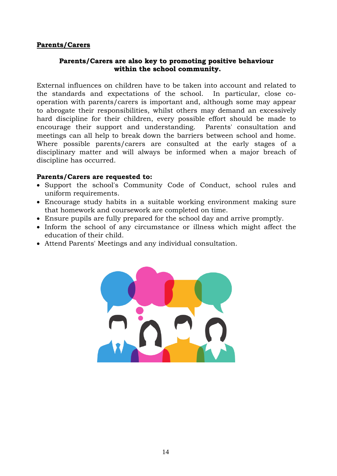#### **Parents/Carers**

#### **Parents/Carers are also key to promoting positive behaviour within the school community.**

External influences on children have to be taken into account and related to the standards and expectations of the school. In particular, close cooperation with parents/carers is important and, although some may appear to abrogate their responsibilities, whilst others may demand an excessively hard discipline for their children, every possible effort should be made to encourage their support and understanding. Parents' consultation and meetings can all help to break down the barriers between school and home. Where possible parents/carers are consulted at the early stages of a disciplinary matter and will always be informed when a major breach of discipline has occurred.

#### **Parents/Carers are requested to:**

- Support the school's Community Code of Conduct, school rules and uniform requirements.
- Encourage study habits in a suitable working environment making sure that homework and coursework are completed on time.
- Ensure pupils are fully prepared for the school day and arrive promptly.
- Inform the school of any circumstance or illness which might affect the education of their child.
- Attend Parents' Meetings and any individual consultation.

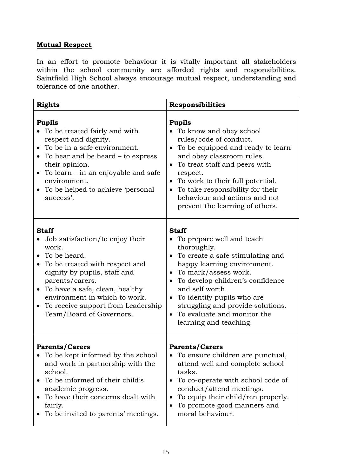# **Mutual Respect**

In an effort to promote behaviour it is vitally important all stakeholders within the school community are afforded rights and responsibilities. Saintfield High School always encourage mutual respect, understanding and tolerance of one another.

| <b>Rights</b>                                                                                                                                                                                                                                                                                                           | <b>Responsibilities</b>                                                                                                                                                                                                                                                                                                                                                                        |
|-------------------------------------------------------------------------------------------------------------------------------------------------------------------------------------------------------------------------------------------------------------------------------------------------------------------------|------------------------------------------------------------------------------------------------------------------------------------------------------------------------------------------------------------------------------------------------------------------------------------------------------------------------------------------------------------------------------------------------|
| <b>Pupils</b><br>To be treated fairly and with<br>respect and dignity.<br>To be in a safe environment.<br>To hear and be heard – to express<br>their opinion.<br>• To learn $-$ in an enjoyable and safe<br>environment.<br>To be helped to achieve 'personal<br>success'.                                              | <b>Pupils</b><br>To know and obey school<br>rules/code of conduct.<br>To be equipped and ready to learn<br>$\bullet$<br>and obey classroom rules.<br>To treat staff and peers with<br>$\bullet$<br>respect.<br>To work to their full potential.<br>$\bullet$<br>To take responsibility for their<br>$\bullet$<br>behaviour and actions and not<br>prevent the learning of others.              |
| <b>Staff</b><br>• Job satisfaction/to enjoy their<br>work.<br>• To be heard.<br>To be treated with respect and<br>$\bullet$<br>dignity by pupils, staff and<br>parents/carers.<br>• To have a safe, clean, healthy<br>environment in which to work.<br>• To receive support from Leadership<br>Team/Board of Governors. | <b>Staff</b><br>• To prepare well and teach<br>thoroughly.<br>• To create a safe stimulating and<br>happy learning environment.<br>To mark/assess work.<br>$\bullet$<br>To develop children's confidence<br>$\bullet$<br>and self worth.<br>To identify pupils who are<br>$\bullet$<br>struggling and provide solutions.<br>To evaluate and monitor the<br>$\bullet$<br>learning and teaching. |
| <b>Parents/Carers</b><br>To be kept informed by the school<br>and work in partnership with the<br>school.<br>To be informed of their child's<br>academic progress.<br>To have their concerns dealt with<br>$\bullet$<br>fairly.<br>To be invited to parents' meetings.                                                  | <b>Parents/Carers</b><br>To ensure children are punctual,<br>attend well and complete school<br>tasks.<br>To co-operate with school code of<br>$\bullet$<br>conduct/attend meetings.<br>To equip their child/ren properly.<br>$\bullet$<br>To promote good manners and<br>$\bullet$<br>moral behaviour.                                                                                        |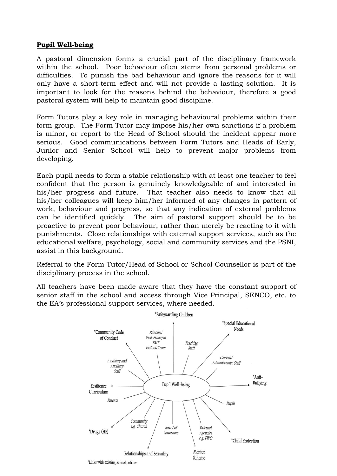#### **Pupil Well-being**

A pastoral dimension forms a crucial part of the disciplinary framework within the school. Poor behaviour often stems from personal problems or difficulties. To punish the bad behaviour and ignore the reasons for it will only have a short-term effect and will not provide a lasting solution. It is important to look for the reasons behind the behaviour, therefore a good pastoral system will help to maintain good discipline.

Form Tutors play a key role in managing behavioural problems within their form group. The Form Tutor may impose his/her own sanctions if a problem is minor, or report to the Head of School should the incident appear more serious. Good communications between Form Tutors and Heads of Early, Junior and Senior School will help to prevent major problems from developing.

Each pupil needs to form a stable relationship with at least one teacher to feel confident that the person is genuinely knowledgeable of and interested in his/her progress and future. That teacher also needs to know that all his/her colleagues will keep him/her informed of any changes in pattern of work, behaviour and progress, so that any indication of external problems can be identified quickly. The aim of pastoral support should be to be proactive to prevent poor behaviour, rather than merely be reacting to it with punishments. Close relationships with external support services, such as the educational welfare, psychology, social and community services and the PSNI, assist in this background.

Referral to the Form Tutor/Head of School or School Counsellor is part of the disciplinary process in the school.

All teachers have been made aware that they have the constant support of senior staff in the school and access through Vice Principal, SENCO, etc. to the EA's professional support services, where needed.

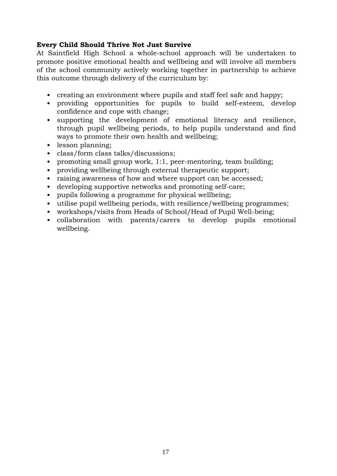#### **Every Child Should Thrive Not Just Survive**

At Saintfield High School a whole-school approach will be undertaken to promote positive emotional health and wellbeing and will involve all members of the school community actively working together in partnership to achieve this outcome through delivery of the curriculum by:

- creating an environment where pupils and staff feel safe and happy;
- providing opportunities for pupils to build self-esteem, develop confidence and cope with change;
- supporting the development of emotional literacy and resilience, through pupil wellbeing periods, to help pupils understand and find ways to promote their own health and wellbeing;
- lesson planning;
- class/form class talks/discussions;
- promoting small group work, 1:1, peer-mentoring, team building;
- providing wellbeing through external therapeutic support;
- raising awareness of how and where support can be accessed;
- developing supportive networks and promoting self-care;
- pupils following a programme for physical wellbeing;
- utilise pupil wellbeing periods, with resilience/wellbeing programmes;
- workshops/visits from Heads of School/Head of Pupil Well-being;
- collaboration with parents/carers to develop pupils emotional wellbeing.